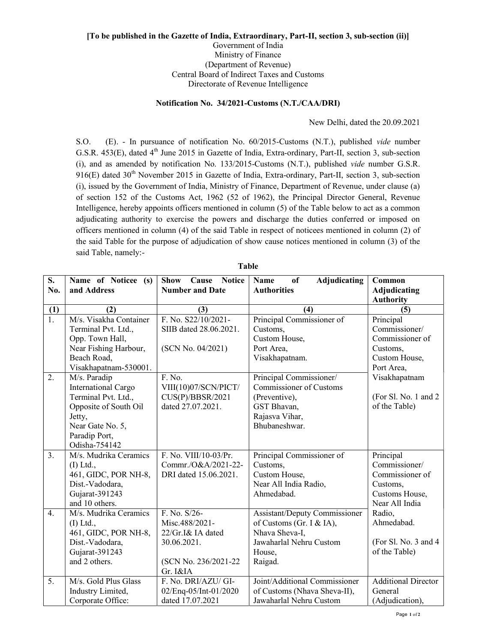## [To be published in the Gazette of India, Extraordinary, Part-II, section 3, sub-section (ii)] Government of India Ministry of Finance (Department of Revenue) Central Board of Indirect Taxes and Customs Directorate of Revenue Intelligence

## Notification No. 34/2021-Customs (N.T./CAA/DRI)

New Delhi, dated the 20.09.2021

S.O. (E). - In pursuance of notification No. 60/2015-Customs (N.T.), published vide number G.S.R. 453(E), dated 4<sup>th</sup> June 2015 in Gazette of India, Extra-ordinary, Part-II, section 3, sub-section (i), and as amended by notification No. 133/2015-Customs (N.T.), published vide number G.S.R. 916(E) dated 30<sup>th</sup> November 2015 in Gazette of India, Extra-ordinary, Part-II, section 3, sub-section (i), issued by the Government of India, Ministry of Finance, Department of Revenue, under clause (a) of section 152 of the Customs Act, 1962 (52 of 1962), the Principal Director General, Revenue Intelligence, hereby appoints officers mentioned in column (5) of the Table below to act as a common adjudicating authority to exercise the powers and discharge the duties conferred or imposed on officers mentioned in column (4) of the said Table in respect of noticees mentioned in column (2) of the said Table for the purpose of adjudication of show cause notices mentioned in column (3) of the said Table, namely:-

| S.               | Name of Noticee (s)        | <b>Cause</b> Notice<br><b>Show</b> | Name<br><b>Adjudicating</b><br>of | Common                     |
|------------------|----------------------------|------------------------------------|-----------------------------------|----------------------------|
| No.              | and Address                | <b>Number and Date</b>             | <b>Authorities</b>                | <b>Adjudicating</b>        |
|                  |                            |                                    |                                   | <b>Authority</b>           |
| (1)              | (2)                        | (3)                                | (4)                               | (5)                        |
| $\overline{1}$ . | M/s. Visakha Container     | F. No. S22/10/2021-                | Principal Commissioner of         | Principal                  |
|                  | Terminal Pvt. Ltd.,        | SIIB dated 28.06.2021.             | Customs,                          | Commissioner/              |
|                  | Opp. Town Hall,            |                                    | Custom House,                     | Commissioner of            |
|                  | Near Fishing Harbour,      | (SCN No. 04/2021)                  | Port Area,                        | Customs,                   |
|                  | Beach Road,                |                                    | Visakhapatnam.                    | Custom House,              |
|                  | Visakhapatnam-530001.      |                                    |                                   | Port Area,                 |
| 2.               | M/s. Paradip               | F. No.                             | Principal Commissioner/           | Visakhapatnam              |
|                  | <b>International Cargo</b> | VIII(10)07/SCN/PICT/               | <b>Commissioner of Customs</b>    |                            |
|                  | Terminal Pvt. Ltd.,        | CUS(P)/BBSR/2021                   | (Preventive),                     | (For Sl. No. 1 and 2)      |
|                  | Opposite of South Oil      | dated 27.07.2021.                  | GST Bhavan,                       | of the Table)              |
|                  | Jetty,                     |                                    | Rajasva Vihar,                    |                            |
|                  | Near Gate No. 5,           |                                    | Bhubaneshwar.                     |                            |
|                  | Paradip Port,              |                                    |                                   |                            |
|                  | Odisha-754142              |                                    |                                   |                            |
| 3.               | M/s. Mudrika Ceramics      | F. No. VIII/10-03/Pr.              | Principal Commissioner of         | Principal                  |
|                  | $(I)$ Ltd.,                | Commr./O&A/2021-22-                | Customs,                          | Commissioner/              |
|                  | 461, GIDC, POR NH-8,       | DRI dated 15.06.2021.              | Custom House,                     | Commissioner of            |
|                  | Dist.-Vadodara,            |                                    | Near All India Radio,             | Customs,                   |
|                  | Gujarat-391243             |                                    | Ahmedabad.                        | Customs House,             |
|                  | and 10 others.             |                                    |                                   | Near All India             |
| $\overline{4}$ . | M/s. Mudrika Ceramics      | F. No. S/26-                       | Assistant/Deputy Commissioner     | Radio,                     |
|                  | $(I)$ Ltd.,                | Misc.488/2021-                     | of Customs (Gr. I & IA),          | Ahmedabad.                 |
|                  | 461, GIDC, POR NH-8,       | 22/Gr.I& IA dated                  | Nhava Sheva-I,                    |                            |
|                  | Dist.-Vadodara,            | 30.06.2021.                        | Jawaharlal Nehru Custom           | (For Sl. No. 3 and 4)      |
|                  | Gujarat-391243             |                                    | House,                            | of the Table)              |
|                  | and 2 others.              | (SCN No. 236/2021-22)              | Raigad.                           |                            |
|                  |                            | Gr. I&IA                           |                                   |                            |
| $\overline{5}$ . | M/s. Gold Plus Glass       | F. No. DRI/AZU/ GI-                | Joint/Additional Commissioner     | <b>Additional Director</b> |
|                  | Industry Limited,          | 02/Enq-05/Int-01/2020              | of Customs (Nhava Sheva-II),      | General                    |
|                  | Corporate Office:          | dated 17.07.2021                   | Jawaharlal Nehru Custom           | (Adjudication),            |

## Table